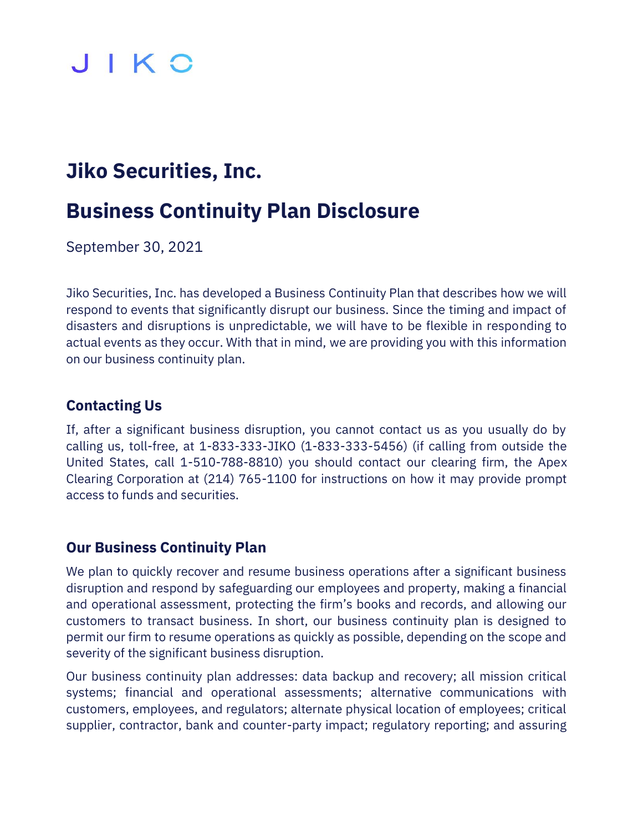## JIKO

### **Jiko Securities, Inc.**

## **Business Continuity Plan Disclosure**

September 30, 2021

Jiko Securities, Inc. has developed a Business Continuity Plan that describes how we will respond to events that significantly disrupt our business. Since the timing and impact of disasters and disruptions is unpredictable, we will have to be flexible in responding to actual events as they occur. With that in mind, we are providing you with this information on our business continuity plan.

#### **Contacting Us**

If, after a significant business disruption, you cannot contact us as you usually do by calling us, toll-free, at 1-833-333-JIKO (1-833-333-5456) (if calling from outside the United States, call 1-510-788-8810) you should contact our clearing firm, the Apex Clearing Corporation at (214) 765-1100 for instructions on how it may provide prompt access to funds and securities.

#### **Our Business Continuity Plan**

We plan to quickly recover and resume business operations after a significant business disruption and respond by safeguarding our employees and property, making a financial and operational assessment, protecting the firm's books and records, and allowing our customers to transact business. In short, our business continuity plan is designed to permit our firm to resume operations as quickly as possible, depending on the scope and severity of the significant business disruption.

Our business continuity plan addresses: data backup and recovery; all mission critical systems; financial and operational assessments; alternative communications with customers, employees, and regulators; alternate physical location of employees; critical supplier, contractor, bank and counter-party impact; regulatory reporting; and assuring